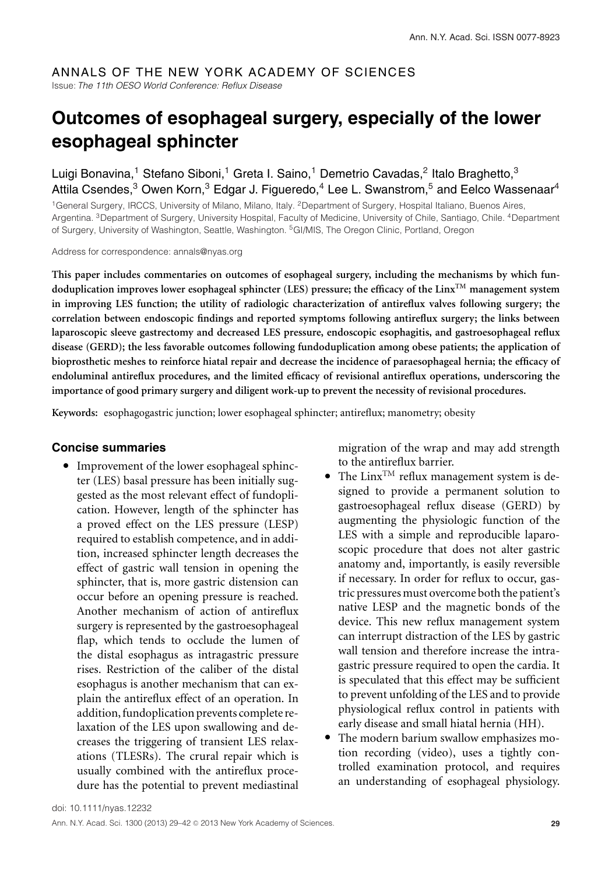## ANNALS OF THE NEW YORK ACADEMY OF SCIENCES

Issue: The 11th OESO World Conference: Reflux Disease

# **Outcomes of esophageal surgery, especially of the lower esophageal sphincter**

Luigi Bonavina,<sup>1</sup> Stefano Siboni,<sup>1</sup> Greta I. Saino,<sup>1</sup> Demetrio Cavadas,<sup>2</sup> Italo Braghetto,<sup>3</sup> Attila Csendes,  $3$  Owen Korn,  $3$  Edgar J. Figueredo,  $4$  Lee L. Swanstrom,  $5$  and Eelco Wassenaar  $4$ 

<sup>1</sup>General Surgery, IRCCS, University of Milano, Milano, Italy. <sup>2</sup>Department of Surgery, Hospital Italiano, Buenos Aires, Argentina. <sup>3</sup>Department of Surgery, University Hospital, Faculty of Medicine, University of Chile, Santiago, Chile. <sup>4</sup>Department of Surgery, University of Washington, Seattle, Washington. 5GI/MIS, The Oregon Clinic, Portland, Oregon

Address for correspondence: [annals@nyas.org](mailto:annals@nyas.org)

**This paper includes commentaries on outcomes of esophageal surgery, including the mechanisms by which fundoduplication improves lower esophageal sphincter (LES) pressure; the efficacy of the LinxTM management system in improving LES function; the utility of radiologic characterization of antireflux valves following surgery; the correlation between endoscopic findings and reported symptoms following antireflux surgery; the links between laparoscopic sleeve gastrectomy and decreased LES pressure, endoscopic esophagitis, and gastroesophageal reflux disease (GERD); the less favorable outcomes following fundoduplication among obese patients; the application of bioprosthetic meshes to reinforce hiatal repair and decrease the incidence of paraesophageal hernia; the efficacy of endoluminal antireflux procedures, and the limited efficacy of revisional antireflux operations, underscoring the importance of good primary surgery and diligent work-up to prevent the necessity of revisional procedures.**

**Keywords:** esophagogastric junction; lower esophageal sphincter; antireflux; manometry; obesity

## **Concise summaries**

- Improvement of the lower esophageal sphincter (LES) basal pressure has been initially suggested as the most relevant effect of fundoplication. However, length of the sphincter has a proved effect on the LES pressure (LESP) required to establish competence, and in addition, increased sphincter length decreases the effect of gastric wall tension in opening the sphincter, that is, more gastric distension can occur before an opening pressure is reached. Another mechanism of action of antireflux surgery is represented by the gastroesophageal flap, which tends to occlude the lumen of the distal esophagus as intragastric pressure rises. Restriction of the caliber of the distal esophagus is another mechanism that can explain the antireflux effect of an operation. In addition, fundoplication prevents complete relaxation of the LES upon swallowing and decreases the triggering of transient LES relaxations (TLESRs). The crural repair which is usually combined with the antireflux procedure has the potential to prevent mediastinal

migration of the wrap and may add strength

- to the antireflux barrier.<br>• The  $\text{Linx}^{\text{TM}}$  reflux management system is designed to provide a permanent solution to gastroesophageal reflux disease (GERD) by augmenting the physiologic function of the LES with a simple and reproducible laparoscopic procedure that does not alter gastric anatomy and, importantly, is easily reversible if necessary. In order for reflux to occur, gastric pressures must overcome both the patient's native LESP and the magnetic bonds of the device. This new reflux management system can interrupt distraction of the LES by gastric wall tension and therefore increase the intragastric pressure required to open the cardia. It is speculated that this effect may be sufficient to prevent unfolding of the LES and to provide physiological reflux control in patients with early disease and small hiatal hernia (HH).<br>• The modern barium swallow emphasizes mo-
- tion recording (video), uses a tightly controlled examination protocol, and requires an understanding of esophageal physiology.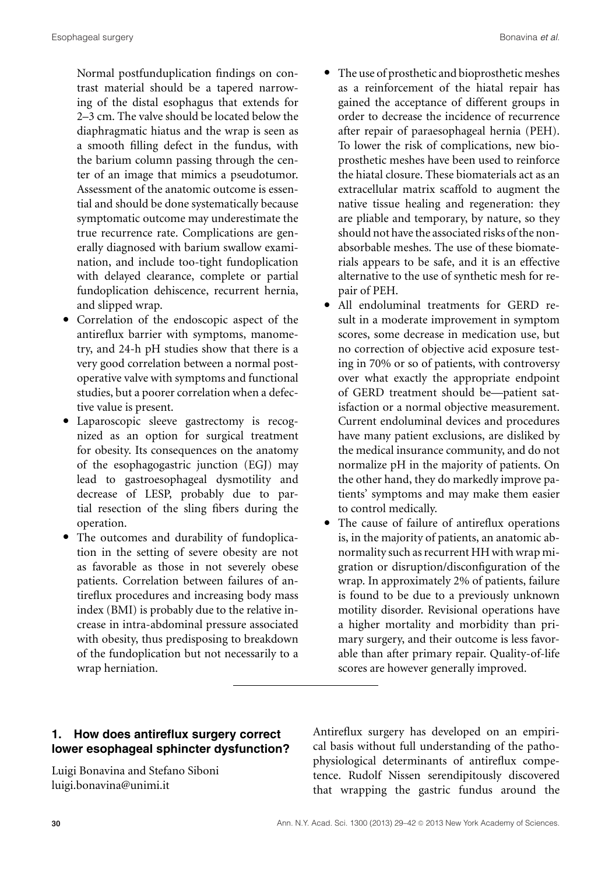Normal postfunduplication findings on contrast material should be a tapered narrowing of the distal esophagus that extends for 2–3 cm. The valve should be located below the diaphragmatic hiatus and the wrap is seen as a smooth filling defect in the fundus, with the barium column passing through the center of an image that mimics a pseudotumor. Assessment of the anatomic outcome is essential and should be done systematically because symptomatic outcome may underestimate the true recurrence rate. Complications are generally diagnosed with barium swallow examination, and include too-tight fundoplication with delayed clearance, complete or partial fundoplication dehiscence, recurrent hernia,

- and slipped wrap.<br>
Correlation of the endoscopic aspect of the antireflux barrier with symptoms, manometry, and 24-h pH studies show that there is a very good correlation between a normal postoperative valve with symptoms and functional studies, but a poorer correlation when a defec-
- tive value is present.<br>• Laparoscopic sleeve gastrectomy is recognized as an option for surgical treatment for obesity. Its consequences on the anatomy of the esophagogastric junction (EGJ) may lead to gastroesophageal dysmotility and decrease of LESP, probably due to partial resection of the sling fibers during the
- operation.<br>• The outcomes and durability of fundoplication in the setting of severe obesity are not as favorable as those in not severely obese patients. Correlation between failures of antireflux procedures and increasing body mass index (BMI) is probably due to the relative increase in intra-abdominal pressure associated with obesity, thus predisposing to breakdown of the fundoplication but not necessarily to a wrap herniation.
- - The use of prosthetic and bioprosthetic meshes as a reinforcement of the hiatal repair has gained the acceptance of different groups in order to decrease the incidence of recurrence after repair of paraesophageal hernia (PEH). To lower the risk of complications, new bioprosthetic meshes have been used to reinforce the hiatal closure. These biomaterials act as an extracellular matrix scaffold to augment the native tissue healing and regeneration: they are pliable and temporary, by nature, so they should not have the associated risks of the nonabsorbable meshes. The use of these biomaterials appears to be safe, and it is an effective alternative to the use of synthetic mesh for re-
- pair of PEH.<br>• All endoluminal treatments for GERD result in a moderate improvement in symptom scores, some decrease in medication use, but no correction of objective acid exposure testing in 70% or so of patients, with controversy over what exactly the appropriate endpoint of GERD treatment should be—patient satisfaction or a normal objective measurement. Current endoluminal devices and procedures have many patient exclusions, are disliked by the medical insurance community, and do not normalize pH in the majority of patients. On the other hand, they do markedly improve patients' symptoms and may make them easier
- to control medically.<br>The cause of failure of antireflux operations is, in the majority of patients, an anatomic abnormality such as recurrent HH with wrap migration or disruption/disconfiguration of the wrap. In approximately 2% of patients, failure is found to be due to a previously unknown motility disorder. Revisional operations have a higher mortality and morbidity than primary surgery, and their outcome is less favorable than after primary repair. Quality-of-life scores are however generally improved.

## **1. How does antireflux surgery correct lower esophageal sphincter dysfunction?**

Luigi Bonavina and Stefano Siboni [luigi.bonavina@unimi.it](mailto:luigi.bonavina@unimi.it)

Antireflux surgery has developed on an empirical basis without full understanding of the pathophysiological determinants of antireflux competence. Rudolf Nissen serendipitously discovered that wrapping the gastric fundus around the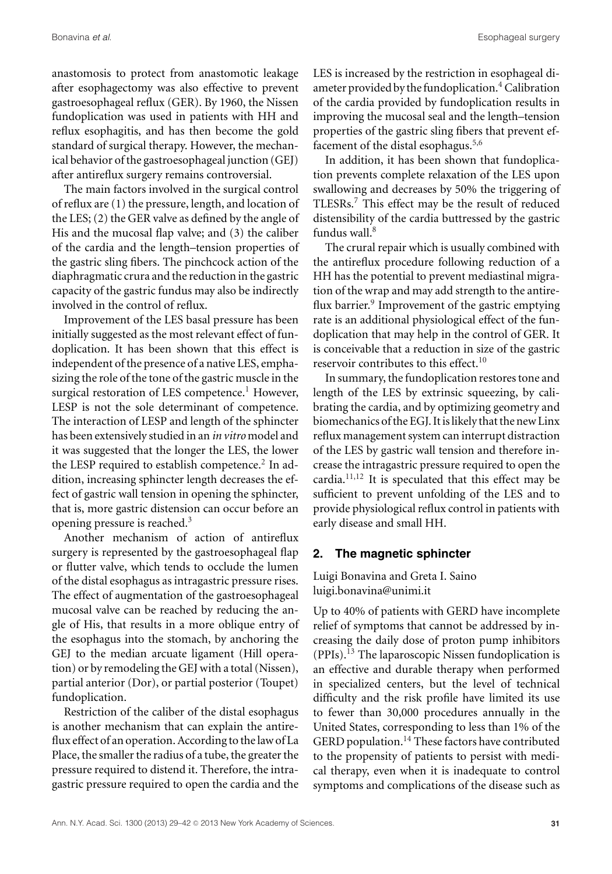anastomosis to protect from anastomotic leakage after esophagectomy was also effective to prevent gastroesophageal reflux (GER). By 1960, the Nissen fundoplication was used in patients with HH and reflux esophagitis, and has then become the gold standard of surgical therapy. However, the mechanical behavior of the gastroesophageal junction (GEJ) after antireflux surgery remains controversial.

The main factors involved in the surgical control of reflux are (1) the pressure, length, and location of the LES; (2) the GER valve as defined by the angle of His and the mucosal flap valve; and (3) the caliber of the cardia and the length–tension properties of the gastric sling fibers. The pinchcock action of the diaphragmatic crura and the reduction in the gastric capacity of the gastric fundus may also be indirectly involved in the control of reflux.

Improvement of the LES basal pressure has been initially suggested as the most relevant effect of fundoplication. It has been shown that this effect is independent of the presence of a native LES, emphasizing the role of the tone of the gastric muscle in the surgical restoration of LES competence.<sup>1</sup> However, LESP is not the sole determinant of competence. The interaction of LESP and length of the sphincter has been extensively studied in an *in vitro* model and it was suggested that the longer the LES, the lower the LESP required to establish competence.<sup>2</sup> In addition, increasing sphincter length decreases the effect of gastric wall tension in opening the sphincter, that is, more gastric distension can occur before an opening pressure is reached.3

Another mechanism of action of antireflux surgery is represented by the gastroesophageal flap or flutter valve, which tends to occlude the lumen of the distal esophagus as intragastric pressure rises. The effect of augmentation of the gastroesophageal mucosal valve can be reached by reducing the angle of His, that results in a more oblique entry of the esophagus into the stomach, by anchoring the GEJ to the median arcuate ligament (Hill operation) or by remodeling the GEJ with a total (Nissen), partial anterior (Dor), or partial posterior (Toupet) fundoplication.

Restriction of the caliber of the distal esophagus is another mechanism that can explain the antireflux effect of an operation. According to the law of La Place, the smaller the radius of a tube, the greater the pressure required to distend it. Therefore, the intragastric pressure required to open the cardia and the LES is increased by the restriction in esophageal diameter provided by the fundoplication. $4$  Calibration of the cardia provided by fundoplication results in improving the mucosal seal and the length–tension properties of the gastric sling fibers that prevent effacement of the distal esophagus. $5,6$ 

In addition, it has been shown that fundoplication prevents complete relaxation of the LES upon swallowing and decreases by 50% the triggering of TLESRs.<sup>7</sup> This effect may be the result of reduced distensibility of the cardia buttressed by the gastric fundus wall. $8$ 

The crural repair which is usually combined with the antireflux procedure following reduction of a HH has the potential to prevent mediastinal migration of the wrap and may add strength to the antireflux barrier.<sup>9</sup> Improvement of the gastric emptying rate is an additional physiological effect of the fundoplication that may help in the control of GER. It is conceivable that a reduction in size of the gastric reservoir contributes to this effect.<sup>10</sup>

In summary, the fundoplication restores tone and length of the LES by extrinsic squeezing, by calibrating the cardia, and by optimizing geometry and biomechanics of the EGJ. It is likely that the new Linx reflux management system can interrupt distraction of the LES by gastric wall tension and therefore increase the intragastric pressure required to open the cardia.<sup>11,12</sup> It is speculated that this effect may be sufficient to prevent unfolding of the LES and to provide physiological reflux control in patients with early disease and small HH.

## **2. The magnetic sphincter**

Luigi Bonavina and Greta I. Saino [luigi.bonavina@unimi.it](mailto:luigi.bonavina@unimi.it)

Up to 40% of patients with GERD have incomplete relief of symptoms that cannot be addressed by increasing the daily dose of proton pump inhibitors (PPIs).<sup>13</sup> The laparoscopic Nissen fundoplication is an effective and durable therapy when performed in specialized centers, but the level of technical difficulty and the risk profile have limited its use to fewer than 30,000 procedures annually in the United States, corresponding to less than 1% of the GERD population.<sup>14</sup> These factors have contributed to the propensity of patients to persist with medical therapy, even when it is inadequate to control symptoms and complications of the disease such as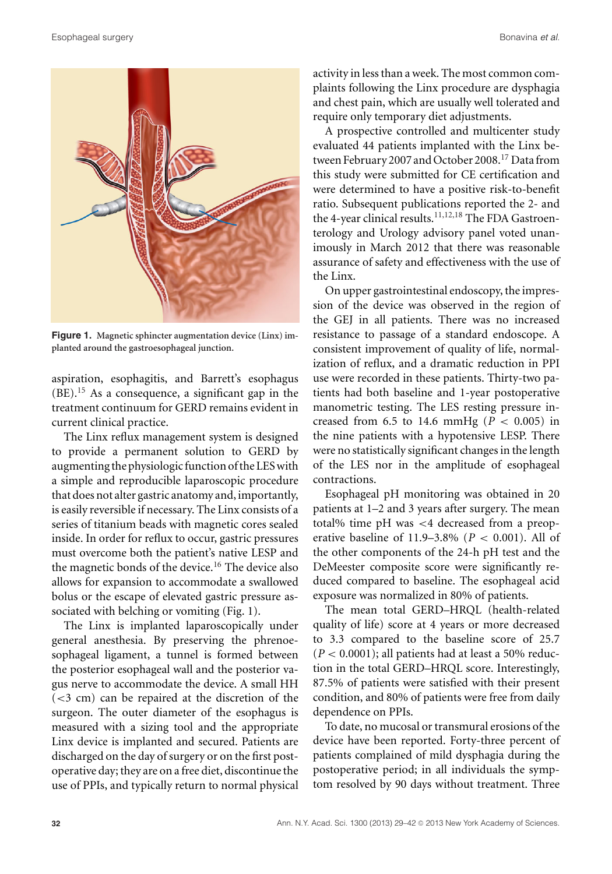

**Figure 1. Magnetic sphincter augmentation device (Linx) implanted around the gastroesophageal junction.**

aspiration, esophagitis, and Barrett's esophagus  $(BE)$ .<sup>15</sup> As a consequence, a significant gap in the treatment continuum for GERD remains evident in current clinical practice.

The Linx reflux management system is designed to provide a permanent solution to GERD by augmenting the physiologic function of the LES with a simple and reproducible laparoscopic procedure that does not alter gastric anatomy and, importantly, is easily reversible if necessary. The Linx consists of a series of titanium beads with magnetic cores sealed inside. In order for reflux to occur, gastric pressures must overcome both the patient's native LESP and the magnetic bonds of the device.<sup>16</sup> The device also allows for expansion to accommodate a swallowed bolus or the escape of elevated gastric pressure associated with belching or vomiting (Fig. 1).

The Linx is implanted laparoscopically under general anesthesia. By preserving the phrenoesophageal ligament, a tunnel is formed between the posterior esophageal wall and the posterior vagus nerve to accommodate the device. A small HH  $(<$ 3 cm) can be repaired at the discretion of the surgeon. The outer diameter of the esophagus is measured with a sizing tool and the appropriate Linx device is implanted and secured. Patients are discharged on the day of surgery or on the first postoperative day; they are on a free diet, discontinue the use of PPIs, and typically return to normal physical activity in less than a week. The most common complaints following the Linx procedure are dysphagia and chest pain, which are usually well tolerated and require only temporary diet adjustments.

A prospective controlled and multicenter study evaluated 44 patients implanted with the Linx between February 2007 and October 2008.<sup>17</sup> Data from this study were submitted for CE certification and were determined to have a positive risk-to-benefit ratio. Subsequent publications reported the 2- and the 4-year clinical results.<sup>11,12,18</sup> The FDA Gastroenterology and Urology advisory panel voted unanimously in March 2012 that there was reasonable assurance of safety and effectiveness with the use of the Linx.

On upper gastrointestinal endoscopy, the impression of the device was observed in the region of the GEJ in all patients. There was no increased resistance to passage of a standard endoscope. A consistent improvement of quality of life, normalization of reflux, and a dramatic reduction in PPI use were recorded in these patients. Thirty-two patients had both baseline and 1-year postoperative manometric testing. The LES resting pressure increased from 6.5 to 14.6 mmHg ( $P < 0.005$ ) in the nine patients with a hypotensive LESP. There were no statistically significant changes in the length of the LES nor in the amplitude of esophageal contractions.

Esophageal pH monitoring was obtained in 20 patients at 1–2 and 3 years after surgery. The mean total% time pH was <4 decreased from a preoperative baseline of 11.9–3.8% (*P* < 0.001). All of the other components of the 24-h pH test and the DeMeester composite score were significantly reduced compared to baseline. The esophageal acid exposure was normalized in 80% of patients.

The mean total GERD–HRQL (health-related quality of life) score at 4 years or more decreased to 3.3 compared to the baseline score of 25.7  $(P < 0.0001)$ ; all patients had at least a 50% reduction in the total GERD–HRQL score. Interestingly, 87.5% of patients were satisfied with their present condition, and 80% of patients were free from daily dependence on PPIs.

To date, no mucosal or transmural erosions of the device have been reported. Forty-three percent of patients complained of mild dysphagia during the postoperative period; in all individuals the symptom resolved by 90 days without treatment. Three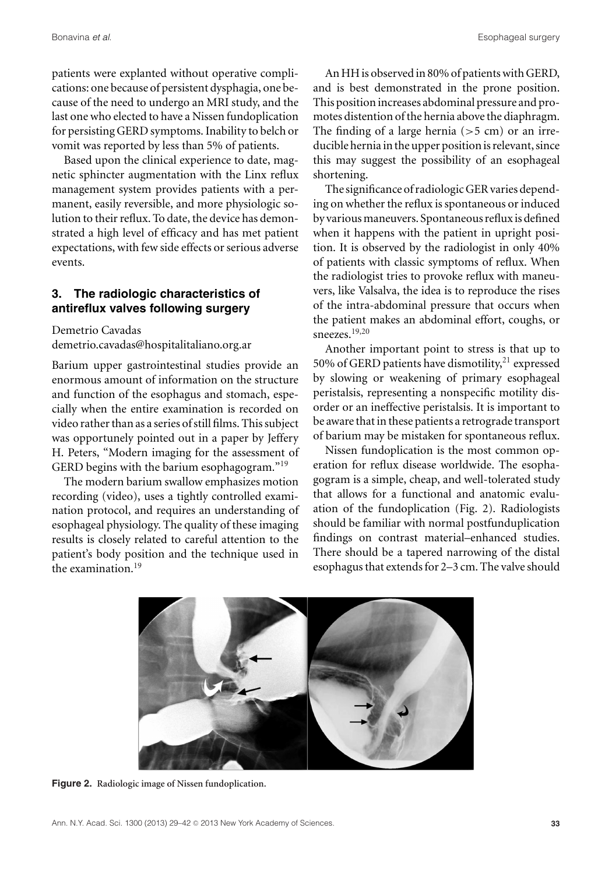patients were explanted without operative complications: one because of persistent dysphagia, one because of the need to undergo an MRI study, and the last one who elected to have a Nissen fundoplication for persisting GERD symptoms. Inability to belch or vomit was reported by less than 5% of patients.

Based upon the clinical experience to date, magnetic sphincter augmentation with the Linx reflux management system provides patients with a permanent, easily reversible, and more physiologic solution to their reflux. To date, the device has demonstrated a high level of efficacy and has met patient expectations, with few side effects or serious adverse events.

## **3. The radiologic characteristics of antireflux valves following surgery**

Demetrio Cavadas [demetrio.cavadas@hospitalitaliano.org.ar](mailto:demetrio.cavadas@hospitalitaliano.org.ar)

Barium upper gastrointestinal studies provide an enormous amount of information on the structure and function of the esophagus and stomach, especially when the entire examination is recorded on video rather than as a series of still films. This subject was opportunely pointed out in a paper by Jeffery H. Peters, "Modern imaging for the assessment of GERD begins with the barium esophagogram."<sup>19</sup>

The modern barium swallow emphasizes motion recording (video), uses a tightly controlled examination protocol, and requires an understanding of esophageal physiology. The quality of these imaging results is closely related to careful attention to the patient's body position and the technique used in the examination.<sup>19</sup>

An HH is observed in 80% of patients with GERD, and is best demonstrated in the prone position. This position increases abdominal pressure and promotes distention of the hernia above the diaphragm. The finding of a large hernia  $(>5$  cm) or an irreducible hernia in the upper position is relevant, since this may suggest the possibility of an esophageal shortening.

The significance of radiologic GER varies depending on whether the reflux is spontaneous or induced by various maneuvers. Spontaneous reflux is defined when it happens with the patient in upright position. It is observed by the radiologist in only 40% of patients with classic symptoms of reflux. When the radiologist tries to provoke reflux with maneuvers, like Valsalva, the idea is to reproduce the rises of the intra-abdominal pressure that occurs when the patient makes an abdominal effort, coughs, or sneezes.19,20

Another important point to stress is that up to 50% of GERD patients have dismotility, $^{21}$  expressed by slowing or weakening of primary esophageal peristalsis, representing a nonspecific motility disorder or an ineffective peristalsis. It is important to be aware that in these patients a retrograde transport of barium may be mistaken for spontaneous reflux.

Nissen fundoplication is the most common operation for reflux disease worldwide. The esophagogram is a simple, cheap, and well-tolerated study that allows for a functional and anatomic evaluation of the fundoplication (Fig. 2). Radiologists should be familiar with normal postfunduplication findings on contrast material–enhanced studies. There should be a tapered narrowing of the distal esophagus that extends for 2–3 cm. The valve should



**Figure 2. Radiologic image of Nissen fundoplication.**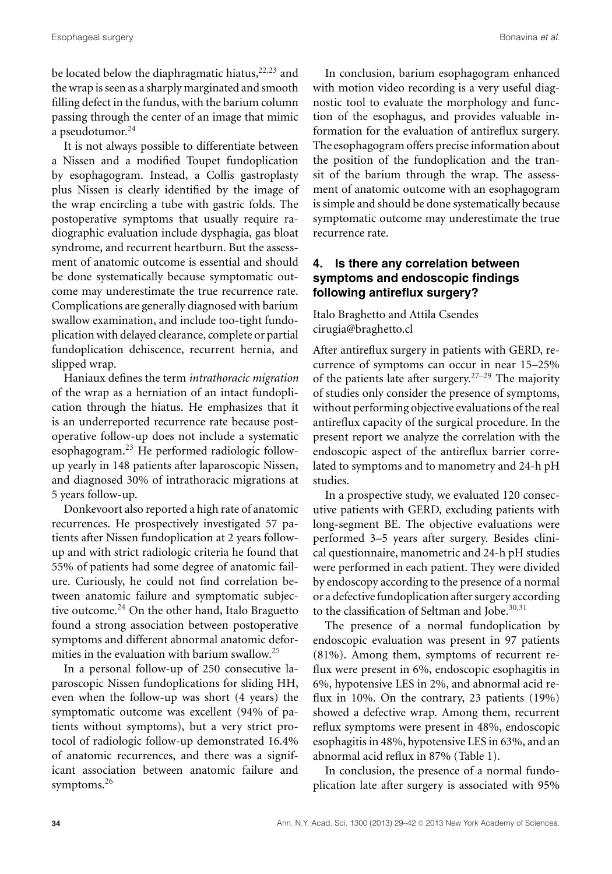be located below the diaphragmatic hiatus, $22,23$  and the wrap is seen as a sharply marginated and smooth filling defect in the fundus, with the barium column passing through the center of an image that mimic a pseudotumor.<sup>24</sup>

It is not always possible to differentiate between a Nissen and a modified Toupet fundoplication by esophagogram. Instead, a Collis gastroplasty plus Nissen is clearly identified by the image of the wrap encircling a tube with gastric folds. The postoperative symptoms that usually require radiographic evaluation include dysphagia, gas bloat syndrome, and recurrent heartburn. But the assessment of anatomic outcome is essential and should be done systematically because symptomatic outcome may underestimate the true recurrence rate. Complications are generally diagnosed with barium swallow examination, and include too-tight fundoplication with delayed clearance, complete or partial fundoplication dehiscence, recurrent hernia, and slipped wrap.

Haniaux defines the term *intrathoracic migration* of the wrap as a herniation of an intact fundoplication through the hiatus. He emphasizes that it is an underreported recurrence rate because postoperative follow-up does not include a systematic esophagogram.<sup>23</sup> He performed radiologic followup yearly in 148 patients after laparoscopic Nissen, and diagnosed 30% of intrathoracic migrations at 5 years follow-up.

Donkevoort also reported a high rate of anatomic recurrences. He prospectively investigated 57 patients after Nissen fundoplication at 2 years followup and with strict radiologic criteria he found that 55% of patients had some degree of anatomic failure. Curiously, he could not find correlation between anatomic failure and symptomatic subjective outcome. $24$  On the other hand, Italo Braguetto found a strong association between postoperative symptoms and different abnormal anatomic deformities in the evaluation with barium swallow.<sup>25</sup>

In a personal follow-up of 250 consecutive laparoscopic Nissen fundoplications for sliding HH, even when the follow-up was short (4 years) the symptomatic outcome was excellent (94% of patients without symptoms), but a very strict protocol of radiologic follow-up demonstrated 16.4% of anatomic recurrences, and there was a significant association between anatomic failure and symptoms.<sup>26</sup>

In conclusion, barium esophagogram enhanced with motion video recording is a very useful diagnostic tool to evaluate the morphology and function of the esophagus, and provides valuable information for the evaluation of antireflux surgery. The esophagogram offers precise information about the position of the fundoplication and the transit of the barium through the wrap. The assessment of anatomic outcome with an esophagogram is simple and should be done systematically because symptomatic outcome may underestimate the true recurrence rate.

## **4. Is there any correlation between symptoms and endoscopic findings following antireflux surgery?**

Italo Braghetto and Attila Csendes [cirugia@braghetto.cl](mailto:cirugia@braghetto.cl)

After antireflux surgery in patients with GERD, recurrence of symptoms can occur in near 15–25% of the patients late after surgery.<sup>27–29</sup> The majority of studies only consider the presence of symptoms, without performing objective evaluations of the real antireflux capacity of the surgical procedure. In the present report we analyze the correlation with the endoscopic aspect of the antireflux barrier correlated to symptoms and to manometry and 24-h pH studies.

In a prospective study, we evaluated 120 consecutive patients with GERD, excluding patients with long-segment BE. The objective evaluations were performed 3–5 years after surgery. Besides clinical questionnaire, manometric and 24-h pH studies were performed in each patient. They were divided by endoscopy according to the presence of a normal or a defective fundoplication after surgery according to the classification of Seltman and Jobe.<sup>30,31</sup>

The presence of a normal fundoplication by endoscopic evaluation was present in 97 patients (81%). Among them, symptoms of recurrent reflux were present in 6%, endoscopic esophagitis in 6%, hypotensive LES in 2%, and abnormal acid reflux in 10%. On the contrary, 23 patients (19%) showed a defective wrap. Among them, recurrent reflux symptoms were present in 48%, endoscopic esophagitis in 48%, hypotensive LES in 63%, and an abnormal acid reflux in 87% (Table 1).

In conclusion, the presence of a normal fundoplication late after surgery is associated with 95%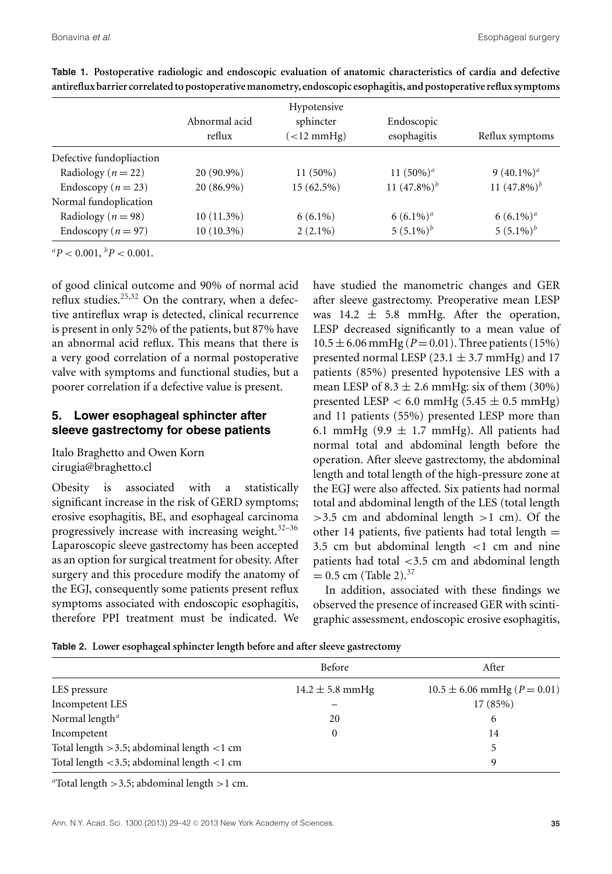|                          | Abnormal acid<br>reflux | <b>Hypotensive</b><br>sphincter<br>$\leq$ 12 mmHg) | Endoscopic<br>esophagitis | Reflux symptoms |
|--------------------------|-------------------------|----------------------------------------------------|---------------------------|-----------------|
| Defective fundopliaction |                         |                                                    |                           |                 |
| Radiology ( $n = 22$ )   | 20 (90.9%)              | $11(50\%)$                                         | 11 $(50\%)^a$             | 9 $(40.1\%)^a$  |
| Endoscopy ( $n = 23$ )   | $20(86.9\%)$            | $15(62.5\%)$                                       | 11 $(47.8\%)^b$           | 11 $(47.8\%)^b$ |
| Normal fundoplication    |                         |                                                    |                           |                 |
| Radiology ( $n = 98$ )   | $10(11.3\%)$            | $6(6.1\%)$                                         | $6(6.1\%)^a$              | $6(6.1\%)^a$    |
| Endoscopy ( $n = 97$ )   | $10(10.3\%)$            | $2(2.1\%)$                                         | $5(5.1\%)^b$              | 5 $(5.1\%)^b$   |

**Table 1. Postoperative radiologic and endoscopic evaluation of anatomic characteristics of cardia and defective antireflux barrier correlated to postoperativemanometry, endoscopic esophagitis, and postoperative reflux symptoms**

 ${}^{a}P$  < 0.001,  ${}^{b}P$  < 0.001.

of good clinical outcome and 90% of normal acid reflux studies. $25,32$  On the contrary, when a defective antireflux wrap is detected, clinical recurrence is present in only 52% of the patients, but 87% have an abnormal acid reflux. This means that there is a very good correlation of a normal postoperative valve with symptoms and functional studies, but a poorer correlation if a defective value is present.

## **5. Lower esophageal sphincter after sleeve gastrectomy for obese patients**

Italo Braghetto and Owen Korn [cirugia@braghetto.cl](mailto:cirugia@braghetto.cl)

Obesity is associated with a statistically significant increase in the risk of GERD symptoms; erosive esophagitis, BE, and esophageal carcinoma progressively increase with increasing weight.32–36 Laparoscopic sleeve gastrectomy has been accepted as an option for surgical treatment for obesity. After surgery and this procedure modify the anatomy of the EGJ, consequently some patients present reflux symptoms associated with endoscopic esophagitis, therefore PPI treatment must be indicated. We have studied the manometric changes and GER after sleeve gastrectomy. Preoperative mean LESP was  $14.2 \pm 5.8$  mmHg. After the operation, LESP decreased significantly to a mean value of  $10.5 \pm 6.06$  mmHg ( $P = 0.01$ ). Three patients (15%) presented normal LESP (23.1  $\pm$  3.7 mmHg) and 17 patients (85%) presented hypotensive LES with a mean LESP of  $8.3 \pm 2.6$  mmHg: six of them (30%) presented LESP  $< 6.0$  mmHg (5.45  $\pm$  0.5 mmHg) and 11 patients (55%) presented LESP more than 6.1 mmHg (9.9  $\pm$  1.7 mmHg). All patients had normal total and abdominal length before the operation. After sleeve gastrectomy, the abdominal length and total length of the high-pressure zone at the EGJ were also affected. Six patients had normal total and abdominal length of the LES (total length  $>3.5$  cm and abdominal length  $>1$  cm). Of the other 14 patients, five patients had total length  $=$ 3.5 cm but abdominal length <1 cm and nine patients had total <3.5 cm and abdominal length  $= 0.5$  cm (Table 2).<sup>37</sup>

In addition, associated with these findings we observed the presence of increased GER with scintigraphic assessment, endoscopic erosive esophagitis,

**Table 2. Lower esophageal sphincter length before and after sleeve gastrectomy**

|                                                 | Before              | After                               |
|-------------------------------------------------|---------------------|-------------------------------------|
| LES pressure                                    | $14.2 \pm 5.8$ mmHg | $10.5 \pm 6.06$ mmHg ( $P = 0.01$ ) |
| Incompetent LES                                 |                     | 17 (85%)                            |
| Normal length <sup><math>a</math></sup>         | 20                  | 6                                   |
| Incompetent                                     | 0                   | 14                                  |
| Total length $>$ 3.5; abdominal length $<$ 1 cm |                     |                                     |
| Total length $<$ 3.5; abdominal length $<$ 1 cm |                     |                                     |

 $a$ Total length  $>$ 3.5; abdominal length  $>$ 1 cm.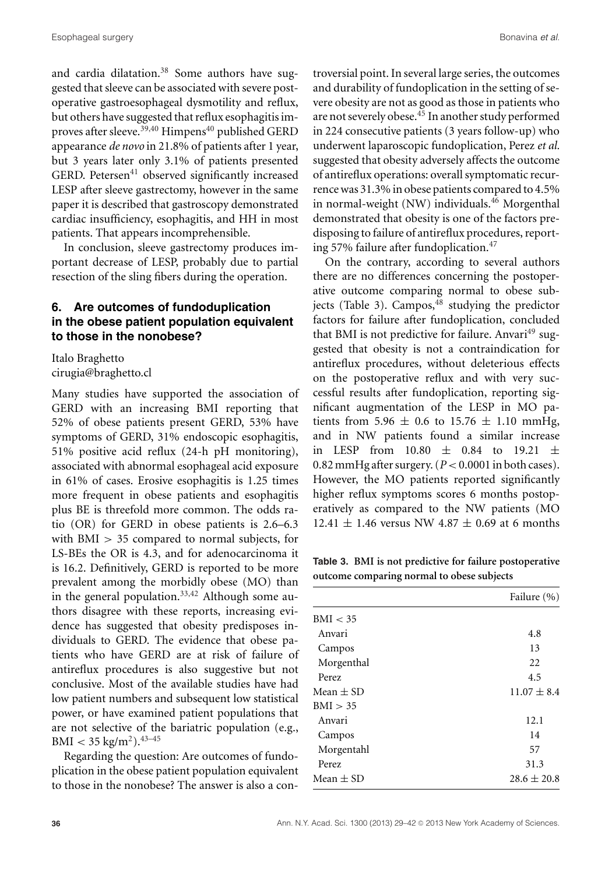and cardia dilatation.<sup>38</sup> Some authors have suggested that sleeve can be associated with severe postoperative gastroesophageal dysmotility and reflux, but others have suggested that reflux esophagitis improves after sleeve.<sup>39,40</sup> Himpens<sup>40</sup> published GERD appearance *de novo* in 21.8% of patients after 1 year, but 3 years later only 3.1% of patients presented GERD. Petersen<sup>41</sup> observed significantly increased LESP after sleeve gastrectomy, however in the same paper it is described that gastroscopy demonstrated cardiac insufficiency, esophagitis, and HH in most patients. That appears incomprehensible.

In conclusion, sleeve gastrectomy produces important decrease of LESP, probably due to partial resection of the sling fibers during the operation.

# **6. Are outcomes of fundoduplication in the obese patient population equivalent to those in the nonobese?**

Italo Braghetto [cirugia@braghetto.cl](mailto:cirugia@braghetto.cl)

Many studies have supported the association of GERD with an increasing BMI reporting that 52% of obese patients present GERD, 53% have symptoms of GERD, 31% endoscopic esophagitis, 51% positive acid reflux (24-h pH monitoring), associated with abnormal esophageal acid exposure in 61% of cases. Erosive esophagitis is 1.25 times more frequent in obese patients and esophagitis plus BE is threefold more common. The odds ratio (OR) for GERD in obese patients is 2.6–6.3 with BMI > 35 compared to normal subjects, for LS-BEs the OR is 4.3, and for adenocarcinoma it is 16.2. Definitively, GERD is reported to be more prevalent among the morbidly obese (MO) than in the general population.<sup>33,42</sup> Although some authors disagree with these reports, increasing evidence has suggested that obesity predisposes individuals to GERD. The evidence that obese patients who have GERD are at risk of failure of antireflux procedures is also suggestive but not conclusive. Most of the available studies have had low patient numbers and subsequent low statistical power, or have examined patient populations that are not selective of the bariatric population (e.g.,  $BMI < 35 kg/m<sup>2</sup>$ .  $43-45$ 

Regarding the question: Are outcomes of fundoplication in the obese patient population equivalent to those in the nonobese? The answer is also a controversial point. In several large series, the outcomes and durability of fundoplication in the setting of severe obesity are not as good as those in patients who are not severely obese.<sup>45</sup> In another study performed in 224 consecutive patients (3 years follow-up) who underwent laparoscopic fundoplication, Perez *et al.* suggested that obesity adversely affects the outcome of antireflux operations: overall symptomatic recurrence was 31.3% in obese patients compared to 4.5% in normal-weight (NW) individuals.<sup>46</sup> Morgenthal demonstrated that obesity is one of the factors predisposing to failure of antireflux procedures, reporting 57% failure after fundoplication. $47$ 

On the contrary, according to several authors there are no differences concerning the postoperative outcome comparing normal to obese subjects (Table 3). Campos, $48$  studying the predictor factors for failure after fundoplication, concluded that BMI is not predictive for failure. Anvari<sup>49</sup> suggested that obesity is not a contraindication for antireflux procedures, without deleterious effects on the postoperative reflux and with very successful results after fundoplication, reporting significant augmentation of the LESP in MO patients from 5.96  $\pm$  0.6 to 15.76  $\pm$  1.10 mmHg, and in NW patients found a similar increase in LESP from  $10.80 \pm 0.84$  to  $19.21 \pm 1$ 0.82 mmHg after surgery.  $(P < 0.0001$  in both cases). However, the MO patients reported significantly higher reflux symptoms scores 6 months postoperatively as compared to the NW patients (MO 12.41  $\pm$  1.46 versus NW 4.87  $\pm$  0.69 at 6 months

**Table 3. BMI is not predictive for failure postoperative outcome comparing normal to obese subjects**

|               | Failure (%)     |
|---------------|-----------------|
| BMI < 35      |                 |
| Anvari        | 4.8             |
| Campos        | 13              |
| Morgenthal    | 22              |
| Perez         | 4.5             |
| Mean $\pm$ SD | $11.07 \pm 8.4$ |
| BMI > 35      |                 |
| Anvari        | 12.1            |
| Campos        | 14              |
| Morgentahl    | 57              |
| Perez         | 31.3            |
| Mean $\pm$ SD | $28.6 \pm 20.8$ |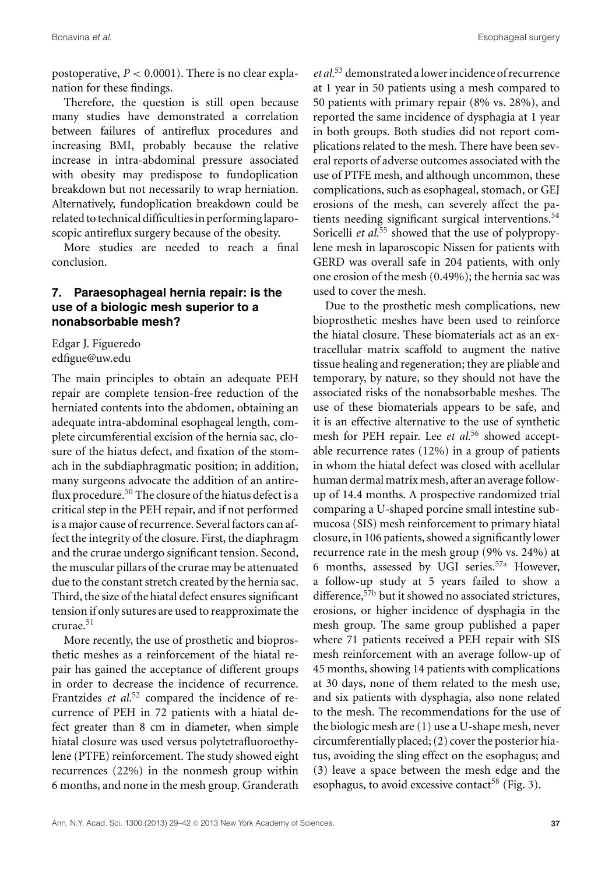postoperative,  $P < 0.0001$ ). There is no clear explanation for these findings.

Therefore, the question is still open because many studies have demonstrated a correlation between failures of antireflux procedures and increasing BMI, probably because the relative increase in intra-abdominal pressure associated with obesity may predispose to fundoplication breakdown but not necessarily to wrap herniation. Alternatively, fundoplication breakdown could be related to technical difficultiesin performing laparoscopic antireflux surgery because of the obesity.

More studies are needed to reach a final conclusion.

## **7. Paraesophageal hernia repair: is the use of a biologic mesh superior to a nonabsorbable mesh?**

Edgar J. Figueredo [edfigue@uw.edu](mailto:edfigue@uw.edu)

The main principles to obtain an adequate PEH repair are complete tension-free reduction of the herniated contents into the abdomen, obtaining an adequate intra-abdominal esophageal length, complete circumferential excision of the hernia sac, closure of the hiatus defect, and fixation of the stomach in the subdiaphragmatic position; in addition, many surgeons advocate the addition of an antireflux procedure.<sup>50</sup> The closure of the hiatus defect is a critical step in the PEH repair, and if not performed is a major cause of recurrence. Several factors can affect the integrity of the closure. First, the diaphragm and the crurae undergo significant tension. Second, the muscular pillars of the crurae may be attenuated due to the constant stretch created by the hernia sac. Third, the size of the hiatal defect ensures significant tension if only sutures are used to reapproximate the crurae.<sup>51</sup>

More recently, the use of prosthetic and bioprosthetic meshes as a reinforcement of the hiatal repair has gained the acceptance of different groups in order to decrease the incidence of recurrence. Frantzides *et al.*<sup>52</sup> compared the incidence of recurrence of PEH in 72 patients with a hiatal defect greater than 8 cm in diameter, when simple hiatal closure was used versus polytetrafluoroethylene (PTFE) reinforcement. The study showed eight recurrences (22%) in the nonmesh group within 6 months, and none in the mesh group. Granderath

*et al.*<sup>53</sup> demonstrated a lower incidence of recurrence at 1 year in 50 patients using a mesh compared to 50 patients with primary repair (8% vs. 28%), and reported the same incidence of dysphagia at 1 year in both groups. Both studies did not report complications related to the mesh. There have been several reports of adverse outcomes associated with the use of PTFE mesh, and although uncommon, these complications, such as esophageal, stomach, or GEJ erosions of the mesh, can severely affect the patients needing significant surgical interventions. $54$ Soricelli *et al.*<sup>55</sup> showed that the use of polypropylene mesh in laparoscopic Nissen for patients with GERD was overall safe in 204 patients, with only one erosion of the mesh (0.49%); the hernia sac was used to cover the mesh.

Due to the prosthetic mesh complications, new bioprosthetic meshes have been used to reinforce the hiatal closure. These biomaterials act as an extracellular matrix scaffold to augment the native tissue healing and regeneration; they are pliable and temporary, by nature, so they should not have the associated risks of the nonabsorbable meshes. The use of these biomaterials appears to be safe, and it is an effective alternative to the use of synthetic mesh for PEH repair. Lee *et al*. <sup>56</sup> showed acceptable recurrence rates (12%) in a group of patients in whom the hiatal defect was closed with acellular human dermal matrix mesh, after an average followup of 14.4 months. A prospective randomized trial comparing a U-shaped porcine small intestine submucosa (SIS) mesh reinforcement to primary hiatal closure, in 106 patients, showed a significantly lower recurrence rate in the mesh group (9% vs. 24%) at 6 months, assessed by UGI series.<sup>57a</sup> However, a follow-up study at 5 years failed to show a difference,<sup>57b</sup> but it showed no associated strictures, erosions, or higher incidence of dysphagia in the mesh group. The same group published a paper where 71 patients received a PEH repair with SIS mesh reinforcement with an average follow-up of 45 months, showing 14 patients with complications at 30 days, none of them related to the mesh use, and six patients with dysphagia, also none related to the mesh. The recommendations for the use of the biologic mesh are (1) use a U-shape mesh, never circumferentially placed; (2) cover the posterior hiatus, avoiding the sling effect on the esophagus; and (3) leave a space between the mesh edge and the esophagus, to avoid excessive contact<sup>58</sup> (Fig. 3).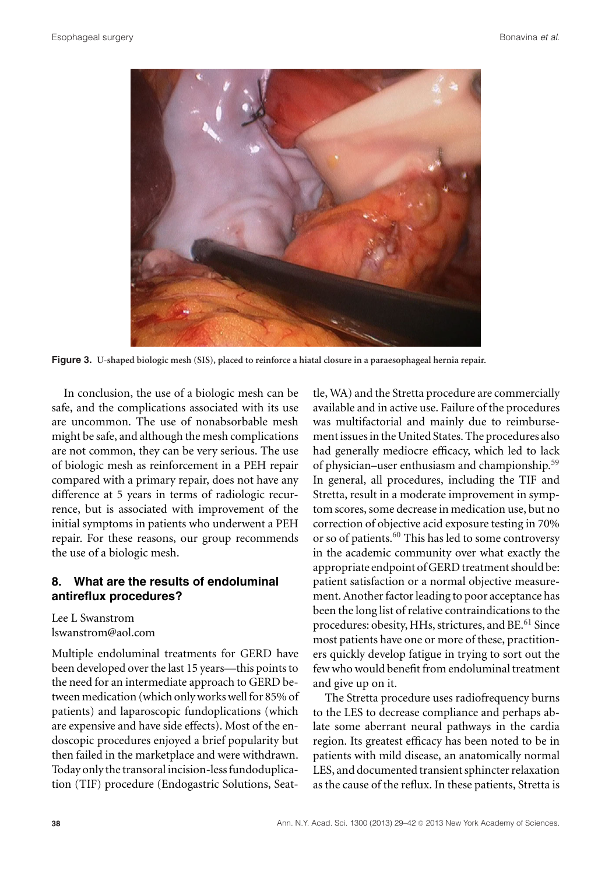

**Figure 3. U-shaped biologic mesh (SIS), placed to reinforce a hiatal closure in a paraesophageal hernia repair.**

In conclusion, the use of a biologic mesh can be safe, and the complications associated with its use are uncommon. The use of nonabsorbable mesh might be safe, and although the mesh complications are not common, they can be very serious. The use of biologic mesh as reinforcement in a PEH repair compared with a primary repair, does not have any difference at 5 years in terms of radiologic recurrence, but is associated with improvement of the initial symptoms in patients who underwent a PEH repair. For these reasons, our group recommends the use of a biologic mesh.

# **8. What are the results of endoluminal antireflux procedures?**

Lee L Swanstrom [lswanstrom@aol.com](mailto:lswanstrom@aol.com)

Multiple endoluminal treatments for GERD have been developed over the last 15 years—this points to the need for an intermediate approach to GERD between medication (which only works well for 85% of patients) and laparoscopic fundoplications (which are expensive and have side effects). Most of the endoscopic procedures enjoyed a brief popularity but then failed in the marketplace and were withdrawn. Today only the transoral incision-lessfundoduplication (TIF) procedure (Endogastric Solutions, Seattle, WA) and the Stretta procedure are commercially available and in active use. Failure of the procedures was multifactorial and mainly due to reimbursement issues in the United States. The procedures also had generally mediocre efficacy, which led to lack of physician–user enthusiasm and championship.<sup>59</sup> In general, all procedures, including the TIF and Stretta, result in a moderate improvement in symptom scores, some decrease in medication use, but no correction of objective acid exposure testing in 70% or so of patients.<sup>60</sup> This has led to some controversy in the academic community over what exactly the appropriate endpoint of GERD treatment should be: patient satisfaction or a normal objective measurement. Another factor leading to poor acceptance has been the long list of relative contraindications to the procedures: obesity, HHs, strictures, and BE.<sup>61</sup> Since most patients have one or more of these, practitioners quickly develop fatigue in trying to sort out the few who would benefit from endoluminal treatment and give up on it.

The Stretta procedure uses radiofrequency burns to the LES to decrease compliance and perhaps ablate some aberrant neural pathways in the cardia region. Its greatest efficacy has been noted to be in patients with mild disease, an anatomically normal LES, and documented transient sphincter relaxation as the cause of the reflux. In these patients, Stretta is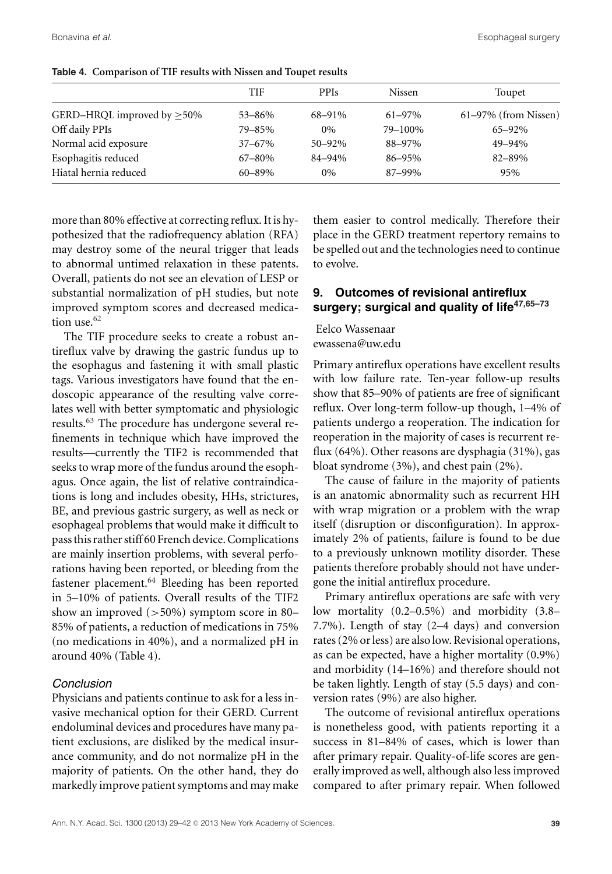|                               | TIF         | <b>PPIs</b> | Nissen     | Toupet                  |
|-------------------------------|-------------|-------------|------------|-------------------------|
| GERD-HRQL improved by $>50\%$ | 53-86%      | 68-91%      | 61-97%     | $61-97\%$ (from Nissen) |
| Off daily PPIs                | 79-85%      | $0\%$       | 79-100%    | $65 - 92\%$             |
| Normal acid exposure          | 37-67%      | $50 - 92\%$ | 88-97%     | 49-94%                  |
| Esophagitis reduced           | 67-80%      | 84-94%      | $86 - 95%$ | 82-89%                  |
| Hiatal hernia reduced         | $60 - 89\%$ | $0\%$       | 87-99%     | 95%                     |

**Table 4. Comparison of TIF results with Nissen and Toupet results**

more than 80% effective at correcting reflux. It is hypothesized that the radiofrequency ablation (RFA) may destroy some of the neural trigger that leads to abnormal untimed relaxation in these patents. Overall, patients do not see an elevation of LESP or substantial normalization of pH studies, but note improved symptom scores and decreased medication use.<sup>62</sup>

The TIF procedure seeks to create a robust antireflux valve by drawing the gastric fundus up to the esophagus and fastening it with small plastic tags. Various investigators have found that the endoscopic appearance of the resulting valve correlates well with better symptomatic and physiologic results.63 The procedure has undergone several refinements in technique which have improved the results—currently the TIF2 is recommended that seeks to wrap more of the fundus around the esophagus. Once again, the list of relative contraindications is long and includes obesity, HHs, strictures, BE, and previous gastric surgery, as well as neck or esophageal problems that would make it difficult to pass this rather stiff 60 French device. Complications are mainly insertion problems, with several perforations having been reported, or bleeding from the fastener placement.64 Bleeding has been reported in 5–10% of patients. Overall results of the TIF2 show an improved (>50%) symptom score in 80– 85% of patients, a reduction of medications in 75% (no medications in 40%), and a normalized pH in around 40% (Table 4).

## Conclusion

Physicians and patients continue to ask for a less invasive mechanical option for their GERD. Current endoluminal devices and procedures have many patient exclusions, are disliked by the medical insurance community, and do not normalize pH in the majority of patients. On the other hand, they do markedly improve patient symptoms and may make them easier to control medically. Therefore their place in the GERD treatment repertory remains to be spelled out and the technologies need to continue to evolve.

# **9. Outcomes of revisional antireflux surgery; surgical and quality of life47,65–73**

Eelco Wassenaar [ewassena@uw.edu](mailto:ewassena@uw.edu)

Primary antireflux operations have excellent results with low failure rate. Ten-year follow-up results show that 85–90% of patients are free of significant reflux. Over long-term follow-up though, 1–4% of patients undergo a reoperation. The indication for reoperation in the majority of cases is recurrent reflux (64%). Other reasons are dysphagia (31%), gas bloat syndrome (3%), and chest pain (2%).

The cause of failure in the majority of patients is an anatomic abnormality such as recurrent HH with wrap migration or a problem with the wrap itself (disruption or disconfiguration). In approximately 2% of patients, failure is found to be due to a previously unknown motility disorder. These patients therefore probably should not have undergone the initial antireflux procedure.

Primary antireflux operations are safe with very low mortality (0.2–0.5%) and morbidity (3.8– 7.7%). Length of stay (2–4 days) and conversion rates (2% or less) are also low. Revisional operations, as can be expected, have a higher mortality (0.9%) and morbidity (14–16%) and therefore should not be taken lightly. Length of stay (5.5 days) and conversion rates (9%) are also higher.

The outcome of revisional antireflux operations is nonetheless good, with patients reporting it a success in 81–84% of cases, which is lower than after primary repair. Quality-of-life scores are generally improved as well, although also less improved compared to after primary repair. When followed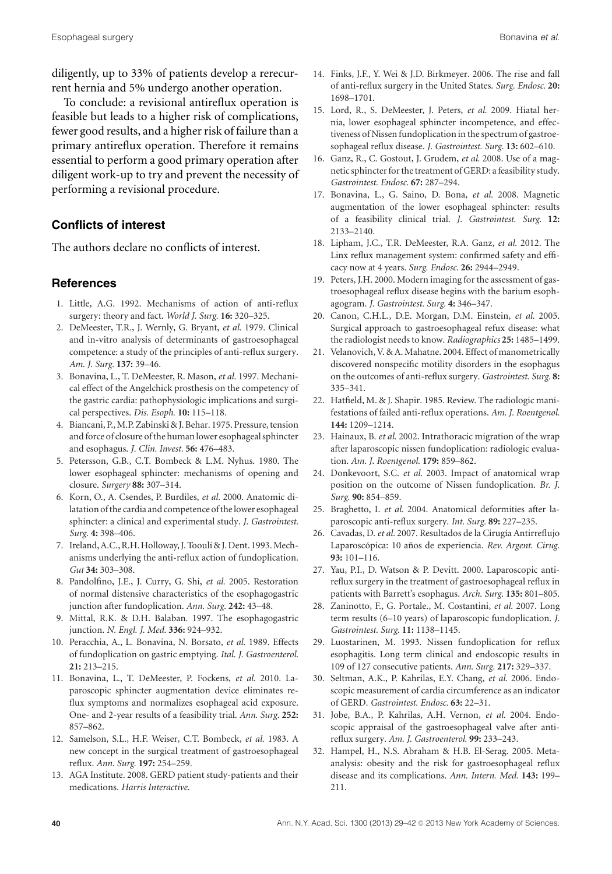diligently, up to 33% of patients develop a rerecurrent hernia and 5% undergo another operation.

To conclude: a revisional antireflux operation is feasible but leads to a higher risk of complications, fewer good results, and a higher risk of failure than a primary antireflux operation. Therefore it remains essential to perform a good primary operation after diligent work-up to try and prevent the necessity of performing a revisional procedure.

## **Conflicts of interest**

The authors declare no conflicts of interest.

## **References**

- 1. Little, A.G. 1992. Mechanisms of action of anti-reflux surgery: theory and fact. *World J. Surg.* **16:** 320–325.
- 2. DeMeester, T.R., J. Wernly, G. Bryant, *et al.* 1979. Clinical and in-vitro analysis of determinants of gastroesophageal competence: a study of the principles of anti-reflux surgery. *Am. J. Surg.* **137:** 39–46.
- 3. Bonavina, L., T. DeMeester, R. Mason, *et al.* 1997. Mechanical effect of the Angelchick prosthesis on the competency of the gastric cardia: pathophysiologic implications and surgical perspectives. *Dis. Esoph.* **10:** 115–118.
- 4. Biancani, P.,M.P. Zabinski & J. Behar. 1975. Pressure, tension and force of closure of the human lower esophageal sphincter and esophagus. *J. Clin. Invest.* **56:** 476–483.
- 5. Petersson, G.B., C.T. Bombeck & L.M. Nyhus. 1980. The lower esophageal sphincter: mechanisms of opening and closure. *Surgery* **88:** 307–314.
- 6. Korn, O., A. Csendes, P. Burdiles, *et al.* 2000. Anatomic dilatation of the cardia and competence of the lower esophageal sphincter: a clinical and experimental study. *J. Gastrointest. Surg.* **4:** 398–406.
- 7. Ireland, A.C., R.H. Holloway, J. Toouli & J. Dent. 1993.Mechanisms underlying the anti-reflux action of fundoplication. *Gut* **34:** 303–308.
- 8. Pandolfino, J.E., J. Curry, G. Shi, *et al.* 2005. Restoration of normal distensive characteristics of the esophagogastric junction after fundoplication. *Ann. Surg.* **242:** 43–48.
- 9. Mittal, R.K. & D.H. Balaban. 1997. The esophagogastric junction. *N. Engl. J. Med.* **336:** 924–932.
- 10. Peracchia, A., L. Bonavina, N. Borsato, *et al.* 1989. Effects of fundoplication on gastric emptying. *Ital. J. Gastroenterol.* **21:** 213–215.
- 11. Bonavina, L., T. DeMeester, P. Fockens, *et al.* 2010. Laparoscopic sphincter augmentation device eliminates reflux symptoms and normalizes esophageal acid exposure. One- and 2-year results of a feasibility trial. *Ann. Surg.* **252:** 857–862.
- 12. Samelson, S.L., H.F. Weiser, C.T. Bombeck, *et al.* 1983. A new concept in the surgical treatment of gastroesophageal reflux. *Ann. Surg.* **197:** 254–259.
- 13. AGA Institute. 2008. GERD patient study-patients and their medications. *Harris Interactive*.
- 14. Finks, J.F., Y. Wei & J.D. Birkmeyer. 2006. The rise and fall of anti-reflux surgery in the United States. *Surg. Endosc.* **20:** 1698–1701.
- 15. Lord, R., S. DeMeester, J. Peters, *et al.* 2009. Hiatal hernia, lower esophageal sphincter incompetence, and effectiveness of Nissen fundoplication in the spectrum of gastroesophageal reflux disease. *J. Gastrointest. Surg.* **13:** 602–610.
- 16. Ganz, R., C. Gostout, J. Grudem, *et al.* 2008. Use of a magnetic sphincter for the treatment of GERD: a feasibility study. *Gastrointest. Endosc.* **67:** 287–294.
- 17. Bonavina, L., G. Saino, D. Bona, *et al.* 2008. Magnetic augmentation of the lower esophageal sphincter: results of a feasibility clinical trial. *J. Gastrointest. Surg.* **12:** 2133–2140.
- 18. Lipham, J.C., T.R. DeMeester, R.A. Ganz, *et al.* 2012. The Linx reflux management system: confirmed safety and efficacy now at 4 years. *Surg. Endosc.* **26:** 2944–2949.
- 19. Peters, J.H. 2000. Modern imaging for the assessment of gastroesophageal reflux disease begins with the barium esophagogram. *J. Gastrointest. Surg.* **4:** 346–347.
- 20. Canon, C.H.L., D.E. Morgan, D.M. Einstein, *et al.* 2005. Surgical approach to gastroesophageal refux disease: what the radiologist needs to know. *Radiographics* **25:** 1485–1499.
- 21. Velanovich, V. & A. Mahatne. 2004. Effect of manometrically discovered nonspecific motility disorders in the esophagus on the outcomes of anti-reflux surgery. *Gastrointest. Surg.* **8:** 335–341.
- 22. Hatfield, M. & J. Shapir. 1985. Review. The radiologic manifestations of failed anti-reflux operations. *Am. J. Roentgenol.* **144:** 1209–1214.
- 23. Hainaux, B. *et al.* 2002. Intrathoracic migration of the wrap after laparoscopic nissen fundoplication: radiologic evaluation. *Am. J. Roentgenol.* **179:** 859–862.
- 24. Donkevoort, S.C. *et al.* 2003. Impact of anatomical wrap position on the outcome of Nissen fundoplication. *Br. J. Surg.* **90:** 854–859.
- 25. Braghetto, I. *et al.* 2004. Anatomical deformities after laparoscopic anti-reflux surgery. *Int. Surg.* **89:** 227–235.
- 26. Cavadas, D. et al. 2007. Resultados de la Cirugía Antirreflujo Laparoscópica: 10 años de experiencia. Rev. Argent. Cirug. **93:** 101–116.
- 27. Yau, P.I., D. Watson & P. Devitt. 2000. Laparoscopic antireflux surgery in the treatment of gastroesophageal reflux in patients with Barrett's esophagus. *Arch. Surg.* **135:** 801–805.
- 28. Zaninotto, F., G. Portale., M. Costantini, *et al.* 2007. Long term results (6–10 years) of laparoscopic fundoplication. *J. Gastrointest. Surg.* **11:** 1138–1145.
- 29. Luostarinen, M. 1993. Nissen fundoplication for reflux esophagitis. Long term clinical and endoscopic results in 109 of 127 consecutive patients. *Ann. Surg.* **217:** 329–337.
- 30. Seltman, A.K., P. Kahrilas, E.Y. Chang, *et al.* 2006. Endoscopic measurement of cardia circumference as an indicator of GERD. *Gastrointest. Endosc.* **63:** 22–31.
- 31. Jobe, B.A., P. Kahrilas, A.H. Vernon, *et al.* 2004. Endoscopic appraisal of the gastroesophageal valve after antireflux surgery. *Am. J. Gastroenterol.* **99:** 233–243.
- 32. Hampel, H., N.S. Abraham & H.B. El-Serag. 2005. Metaanalysis: obesity and the risk for gastroesophageal reflux disease and its complications. *Ann. Intern. Med.* **143:** 199– 211.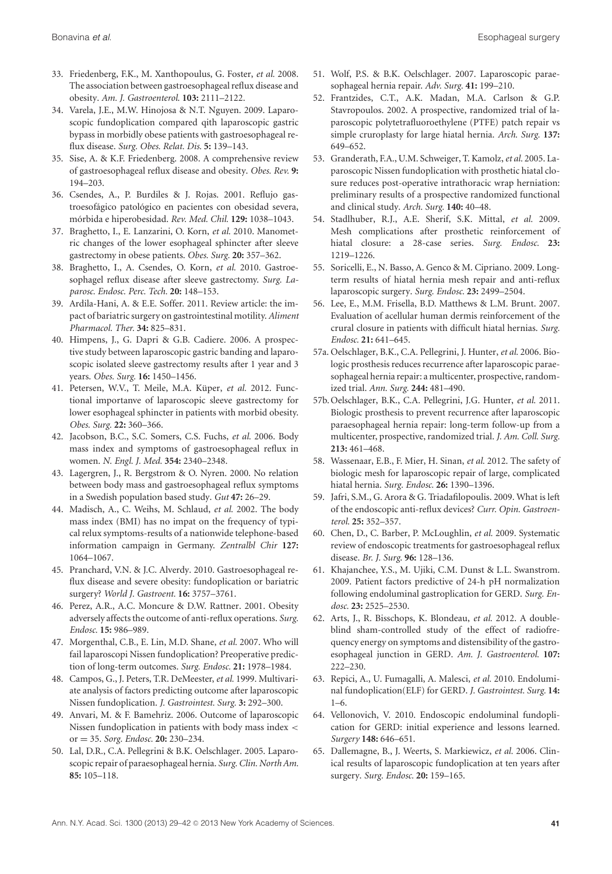- 33. Friedenberg, F.K., M. Xanthopoulus, G. Foster, *et al.* 2008. The association between gastroesophageal reflux disease and obesity. *Am. J. Gastroenterol*. **103:** 2111–2122.
- 34. Varela, J.E., M.W. Hinojosa & N.T. Nguyen. 2009. Laparoscopic fundoplication compared qith laparoscopic gastric bypass in morbidly obese patients with gastroesophageal reflux disease. *Surg. Obes. Relat. Dis.* **5:** 139–143.
- 35. Sise, A. & K.F. Friedenberg. 2008. A comprehensive review of gastroesophageal reflux disease and obesity. *Obes. Rev.* **9:** 194–203.
- 36. Csendes, A., P. Burdiles & J. Rojas. 2001. Reflujo gastroesofágico patológico en pacientes con obesidad severa, morbida e hiperobesidad. ´ *Rev. Med. Chil.* **129:** 1038–1043.
- 37. Braghetto, I., E. Lanzarini, O. Korn, *et al.* 2010. Manometric changes of the lower esophageal sphincter after sleeve gastrectomy in obese patients. *Obes. Surg.* **20:** 357–362.
- 38. Braghetto, I., A. Csendes, O. Korn, *et al.* 2010. Gastroesophagel reflux disease after sleeve gastrectomy. *Surg. Laparosc. Endosc. Perc. Tech.* **20:** 148–153.
- 39. Ardila-Hani, A. & E.E. Soffer. 2011. Review article: the impact of bariatric surgery on gastrointestinal motility. *Aliment Pharmacol. Ther.* **34:** 825–831.
- 40. Himpens, J., G. Dapri & G.B. Cadiere. 2006. A prospective study between laparoscopic gastric banding and laparoscopic isolated sleeve gastrectomy results after 1 year and 3 years. *Obes. Surg.* **16:** 1450–1456.
- 41. Petersen, W.V., T. Meile, M.A. Küper, et al. 2012. Functional importanve of laparoscopic sleeve gastrectomy for lower esophageal sphincter in patients with morbid obesity. *Obes. Surg.* **22:** 360–366.
- 42. Jacobson, B.C., S.C. Somers, C.S. Fuchs, *et al.* 2006. Body mass index and symptoms of gastroesophageal reflux in women. *N. Engl. J. Med.* **354:** 2340–2348.
- 43. Lagergren, J., R. Bergstrom & O. Nyren. 2000. No relation between body mass and gastroesophageal reflux symptoms in a Swedish population based study. *Gut* **47:** 26–29.
- 44. Madisch, A., C. Weihs, M. Schlaud, *et al.* 2002. The body mass index (BMI) has no impat on the frequency of typical relux symptoms-results of a nationwide telephone-based information campaign in Germany. *Zentralbl Chir* **127:** 1064–1067.
- 45. Pranchard, V.N. & J.C. Alverdy. 2010. Gastroesophageal reflux disease and severe obesity: fundoplication or bariatric surgery? *World J. Gastroent.* **16:** 3757–3761.
- 46. Perez, A.R., A.C. Moncure & D.W. Rattner. 2001. Obesity adversely affects the outcome of anti-reflux operations. *Surg. Endosc.* **15:** 986–989.
- 47. Morgenthal, C.B., E. Lin, M.D. Shane, *et al.* 2007. Who will fail laparoscopi Nissen fundoplication? Preoperative prediction of long-term outcomes. *Surg. Endosc.* **21:** 1978–1984.
- 48. Campos, G., J. Peters, T.R. DeMeester, *et al.* 1999. Multivariate analysis of factors predicting outcome after laparoscopic Nissen fundoplication. *J. Gastrointest. Surg.* **3:** 292–300.
- 49. Anvari, M. & F. Bamehriz. 2006. Outcome of laparoscopic Nissen fundoplication in patients with body mass index < or = 35. *Sorg. Endosc.* **20:** 230–234.
- 50. Lal, D.R., C.A. Pellegrini & B.K. Oelschlager. 2005. Laparoscopic repair of paraesophageal hernia. *Surg. Clin. North Am.* **85:** 105–118.
- 51. Wolf, P.S. & B.K. Oelschlager. 2007. Laparoscopic paraesophageal hernia repair. *Adv. Surg.* **41:** 199–210.
- 52. Frantzides, C.T., A.K. Madan, M.A. Carlson & G.P. Stavropoulos. 2002. A prospective, randomized trial of laparoscopic polytetrafluoroethylene (PTFE) patch repair vs simple cruroplasty for large hiatal hernia. *Arch. Surg.* **137:** 649–652.
- 53. Granderath, F.A., U.M. Schweiger, T. Kamolz,*et al.* 2005. Laparoscopic Nissen fundoplication with prosthetic hiatal closure reduces post-operative intrathoracic wrap herniation: preliminary results of a prospective randomized functional and clinical study. *Arch. Surg.* **140:** 40–48.
- 54. Stadlhuber, R.J., A.E. Sherif, S.K. Mittal, *et al.* 2009. Mesh complications after prosthetic reinforcement of hiatal closure: a 28-case series. *Surg. Endosc.* **23:** 1219–1226.
- 55. Soricelli, E., N. Basso, A. Genco & M. Cipriano. 2009. Longterm results of hiatal hernia mesh repair and anti-reflux laparoscopic surgery. *Surg. Endosc.* **23:** 2499–2504.
- 56. Lee, E., M.M. Frisella, B.D. Matthews & L.M. Brunt. 2007. Evaluation of acellular human dermis reinforcement of the crural closure in patients with difficult hiatal hernias. *Surg. Endosc.* **21:** 641–645.
- 57a. Oelschlager, B.K., C.A. Pellegrini, J. Hunter, *et al.* 2006. Biologic prosthesis reduces recurrence after laparoscopic paraesophageal hernia repair: a multicenter, prospective, randomized trial. *Ann. Surg.* **244:** 481–490.
- 57b. Oelschlager, B.K., C.A. Pellegrini, J.G. Hunter, *et al.* 2011. Biologic prosthesis to prevent recurrence after laparoscopic paraesophageal hernia repair: long-term follow-up from a multicenter, prospective, randomized trial. *J. Am. Coll. Surg.* **213:** 461–468.
- 58. Wassenaar, E.B., F. Mier, H. Sinan, *et al.* 2012. The safety of biologic mesh for laparoscopic repair of large, complicated hiatal hernia. *Surg. Endosc.* **26:** 1390–1396.
- 59. Jafri, S.M., G. Arora & G. Triadafilopoulis. 2009. What is left of the endoscopic anti-reflux devices? *Curr. Opin. Gastroenterol.* **25:** 352–357.
- 60. Chen, D., C. Barber, P. McLoughlin, *et al.* 2009. Systematic review of endoscopic treatments for gastroesophageal reflux disease. *Br. J. Surg*. **96:** 128–136.
- 61. Khajanchee, Y.S., M. Ujiki, C.M. Dunst & L.L. Swanstrom. 2009. Patient factors predictive of 24-h pH normalization following endoluminal gastroplication for GERD. *Surg. Endosc.* **23:** 2525–2530.
- 62. Arts, J., R. Bisschops, K. Blondeau, *et al.* 2012. A doubleblind sham-controlled study of the effect of radiofrequency energy on symptoms and distensibility of the gastroesophageal junction in GERD. *Am. J. Gastroenterol.* **107:** 222–230.
- 63. Repici, A., U. Fumagalli, A. Malesci, *et al.* 2010. Endoluminal fundoplication(ELF) for GERD. *J. Gastrointest. Surg.* **14:** 1–6.
- 64. Vellonovich, V. 2010. Endoscopic endoluminal fundoplication for GERD: initial experience and lessons learned. *Surgery* **148:** 646–651.
- 65. Dallemagne, B., J. Weerts, S. Markiewicz, *et al.* 2006. Clinical results of laparoscopic fundoplication at ten years after surgery. *Surg. Endosc.* **20:** 159–165.